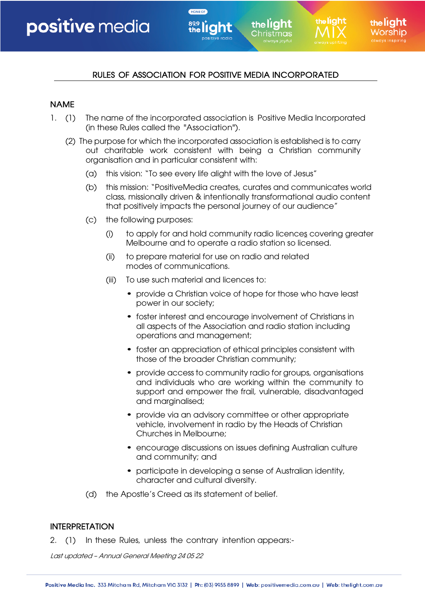# RULES OF ASSOCIATION FOR POSITIVE MEDIA INCORPORATED

the liaht

the light hristmas:

the liaht

HOME OF

#### NAME

- 1. (1) The name of the incorporated association is Positive Media Incorporated (in these Rules called the "Association").
	- (2) The purpose for which the incorporated association is established is to carry out charitable work consistent with being a Christian community organisation and in particular consistent with:
		- (a) this vision: "To see every life alight with the love of Jesus"
		- (b) this mission: "PositiveMedia creates, curates and communicates world class, missionally driven & intentionally transformational audio content that positively impacts the personal journey of our audience"
		- (c) the following purposes:
			- (i) to apply for and hold community radio licences covering greater Melbourne and to operate a radio station so licensed.
			- (ii) to prepare material for use on radio and related modes of communications.
			- (iii) To use such material and licences to:
				- provide a Christian voice of hope for those who have least power in our society;
				- foster interest and encourage involvement of Christians in all aspects of the Association and radio station including operations and management;
				- foster an appreciation of ethical principles consistent with those of the broader Christian community;
				- provide access to community radio for groups, organisations and individuals who are working within the community to support and empower the frail, vulnerable, disadvantaged and marginalised;
				- provide via an advisory committee or other appropriate vehicle, involvement in radio by the Heads of Christian Churches in Melbourne;
				- encourage discussions on issues defining Australian culture and community; and
				- participate in developing a sense of Australian identity, character and cultural diversity.
		- (d) the Apostle's Creed as its statement of belief.

#### INTERPRETATION

2. (1) In these Rules, unless the contrary intention appears:-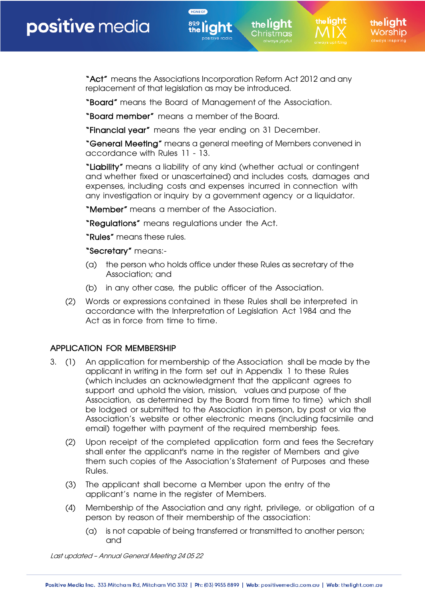"Act" means the Associations Incorporation Reform Act 2012 and any replacement of that legislation as may be introduced.

the liaht

the light hristmas:

the **lí aht** 

"Board" means the Board of Management of the Association.

"Board member" means a member of the Board.

"Financial year" means the year ending on 31 December.

HOME OF

"General Meeting" means a general meeting of Members convened in accordance with Rules 11 - 13.

"Liability" means a liability of any kind (whether actual or contingent and whether fixed or unascertained) and includes costs, damages and expenses, including costs and expenses incurred in connection with any investigation or inquiry by a government agency or a liquidator.

"Member" means a member of the Association.

"Regulations" means regulations under the Act.

"Rules" means these rules.

"Secretary" means:-

- (a) the person who holds office under these Rules as secretary of the Association; and
- (b) in any other case, the public officer of the Association.
- (2) Words or expressions contained in these Rules shall be interpreted in accordance with the Interpretation of Legislation Act 1984 and the Act as in force from time to time.

## APPLICATION FOR MEMBERSHIP

- 3. (1) An application for membership of the Association shall be made by the applicant in writing in the form set out in Appendix 1 to these Rules (which includes an acknowledgment that the applicant agrees to support and uphold the vision, mission, values and purpose of the Association, as determined by the Board from time to time) which shall be lodged or submitted to the Association in person, by post or via the Association's website or other electronic means (including facsimile and email) together with payment of the required membership fees.
	- (2) Upon receipt of the completed application form and fees the Secretary shall enter the applicant's name in the register of Members and give them such copies of the Association's Statement of Purposes and these Rules.
	- (3) The applicant shall become a Member upon the entry of the applicant's name in the register of Members.
	- (4) Membership of the Association and any right, privilege, or obligation of a person by reason of their membership of the association:
		- (a) is not capable of being transferred or transmitted to another person; and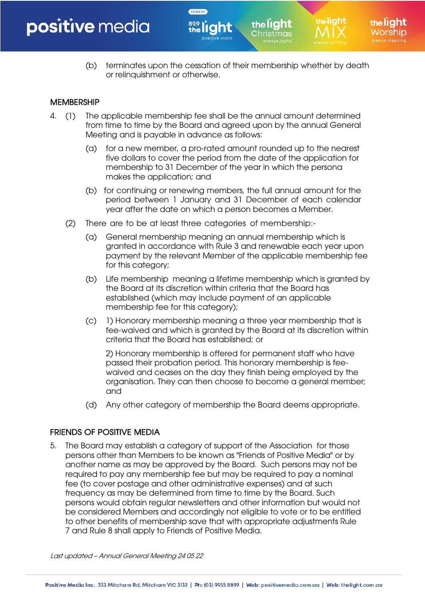(b) terminates upon the cessation of their membership whether by death or relinquishment or otherwise.

the light :hristmas

the liaht

the liaht

## **MEMBERSHIP**

4. (1) The applicable membership fee shall be the annual amount determined from time to time by the Board and agreed upon by the annual General Meeting and is payable in advance as follows:

HOME OF

- (a) for a new member, a pro-rated amount rounded up to the nearest five dollars to cover the period from the date of the application for membership to 31 December of the year in which the persona makes the application; and
- (b) for continuing or renewing members, the full annual amount for the period between 1 January and 31 December of each calendar year after the date on which a person becomes a Member.
- (2) There are to be at least three categories of membership:-
	- (a) General membership meaning an annual membership which is granted in accordance with Rule 3 and renewable each year upon payment by the relevant Member of the applicable membership fee for this category;
	- (b) Life membership meaning a lifetime membership which is granted by the Board at its discretion within criteria that the Board has established (which may include payment of an applicable membership fee for this category);
	- (c) 1) Honorary membership meaning a three year membership that is fee-waived and which is granted by the Board at its discretion within criteria that the Board has established; or

2) Honorary membership is offered for permanent staff who have passed their probation period. This honorary membership is feewaived and ceases on the day they finish being employed by the organisation. They can then choose to become a general member; and

(d) Any other category of membership the Board deems appropriate.

#### FRIENDS OF POSITIVE MEDIA

5. The Board may establish a category of support of the Association for those persons other than Members to be known as "Friends of Positive Media" or by another name as may be approved by the Board. Such persons may not be required to pay any membership fee but may be required to pay a nominal fee (to cover postage and other administrative expenses) and at such frequency as may be determined from time to time by the Board. Such persons would obtain regular newsletters and other information but would not be considered Members and accordingly not eligible to vote or to be entitled to other benefits of membership save that with appropriate adjustments Rule 7 and Rule 8 shall apply to Friends of Positive Media.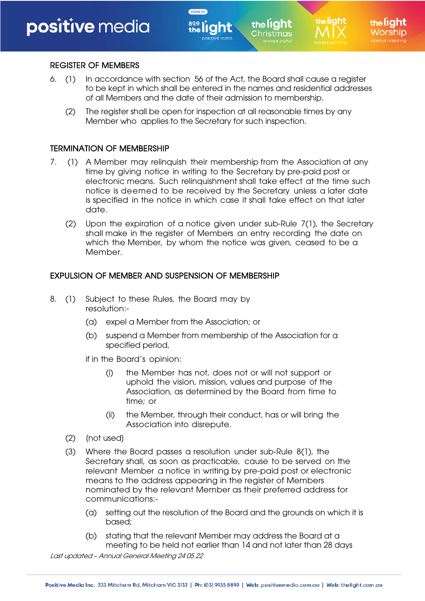# REGISTER OF MEMBERS

6. (1) In accordance with section 56 of the Act, the Board shall cause a register to be kept in which shall be entered in the names and residential addresses of all Members and the date of their admission to membership.

the light hristmas:

HOME OF

(2) The register shall be open for inspection at all reasonable times by any Member who applies to the Secretary for such inspection.

### TERMINATION OF MEMBERSHIP

- 7. (1) A Member may relinquish their membership from the Association at any time by giving notice in writing to the Secretary by pre-paid post or electronic means. Such relinquishment shall take effect at the time such notice is deemed to be received by the Secretary unless a later date is specified in the notice in which case it shall take effect on that later date.
	- (2) Upon the expiration of a notice given under sub-Rule 7(1), the Secretary shall make in the register of Members an entry recording the date on which the Member, by whom the notice was given, ceased to be a Member.

#### EXPULSION OF MEMBER AND SUSPENSION OF MEMBERSHIP

- 8. (1) Subject to these Rules, the Board may by resolution:-
	- (a) expel a Member from the Association; or
	- (b) suspend a Member from membership of the Association for a specified period,

if in the Board's opinion:

- (i) the Member has not, does not or will not support or uphold the vision, mission, values and purpose of the Association, as determined by the Board from time to time; or
- (ii) the Member, through their conduct, has or will bring the Association into disrepute.
- (2) (not used)
- (3) Where the Board passes a resolution under sub-Rule 8(1), the Secretary shall, as soon as practicable, cause to be served on the relevant Member a notice in writing by pre-paid post or electronic means to the address appearing in the register of Members nominated by the relevant Member as their preferred address for communications:-
	- (a) setting out the resolution of the Board and the grounds on which it is based;
	- (b) stating that the relevant Member may address the Board at a meeting to be held not earlier than 14 and not later than 28 days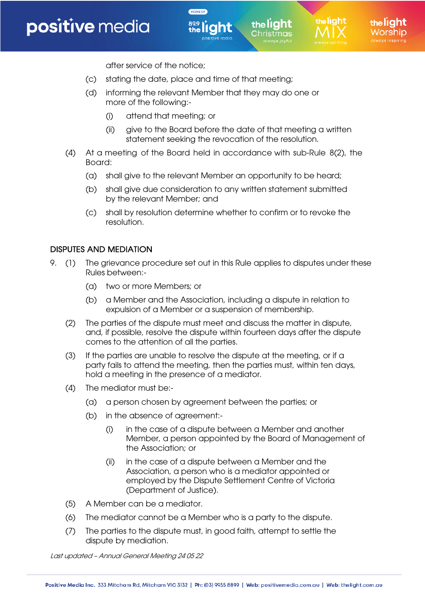after service of the notice;

(c) stating the date, place and time of that meeting;

HOME OF

- (d) informing the relevant Member that they may do one or more of the following:-
	- (i) attend that meeting; or
	- (ii) give to the Board before the date of that meeting a written statement seeking the revocation of the resolution.

the light hristmas:

- (4) At a meeting of the Board held in accordance with sub-Rule 8(2), the Board:
	- (a) shall give to the relevant Member an opportunity to be heard;
	- (b) shall give due consideration to any written statement submitted by the relevant Member; and
	- (c) shall by resolution determine whether to confirm or to revoke the resolution.

#### DISPUTES AND MEDIATION

- 9. (1) The grievance procedure set out in this Rule applies to disputes under these Rules between:-
	- (a) two or more Members; or
	- (b) a Member and the Association, including a dispute in relation to expulsion of a Member or a suspension of membership.
	- (2) The parties of the dispute must meet and discuss the matter in dispute, and, if possible, resolve the dispute within fourteen days after the dispute comes to the attention of all the parties.
	- (3) If the parties are unable to resolve the dispute at the meeting, or if a party fails to attend the meeting, then the parties must, within ten days, hold a meeting in the presence of a mediator.
	- (4) The mediator must be:-
		- (a) a person chosen by agreement between the parties; or
		- (b) in the absence of agreement:-
			- (i) in the case of a dispute between a Member and another Member, a person appointed by the Board of Management of the Association; or
			- (ii) in the case of a dispute between a Member and the Association, a person who is a mediator appointed or employed by the Dispute Settlement Centre of Victoria (Department of Justice).
	- (5) A Member can be a mediator.
	- (6) The mediator cannot be a Member who is a party to the dispute.
	- (7) The parties to the dispute must, in good faith, attempt to settle the dispute by mediation.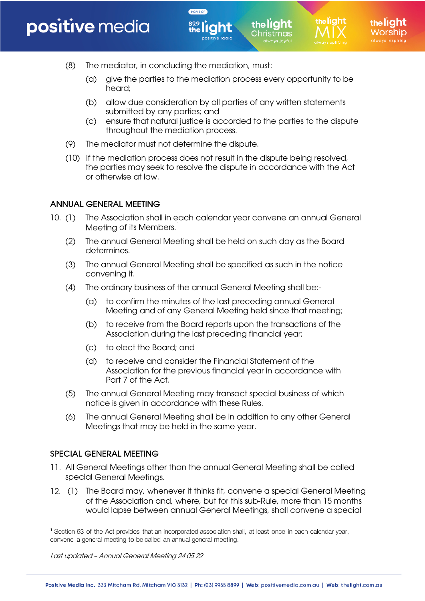(8) The mediator, in concluding the mediation, must:

HOME OF

(a) give the parties to the mediation process every opportunity to be heard;

the light hristmas:

- (b) allow due consideration by all parties of any written statements submitted by any parties; and
- (c) ensure that natural justice is accorded to the parties to the dispute throughout the mediation process.
- (9) The mediator must not determine the dispute.
- (10) If the mediation process does not result in the dispute being resolved, the parties may seek to resolve the dispute in accordance with the Act or otherwise at law.

# ANNUAL GENERAL MEETING

- 10. (1) The Association shall in each calendar year convene an annual General Meeting of its Members. 1
	- (2) The annual General Meeting shall be held on such day as the Board determines.
	- (3) The annual General Meeting shall be specified as such in the notice convening it.
	- (4) The ordinary business of the annual General Meeting shall be:-
		- (a) to confirm the minutes of the last preceding annual General Meeting and of any General Meeting held since that meeting;
		- (b) to receive from the Board reports upon the transactions of the Association during the last preceding financial year;
		- (c) to elect the Board; and
		- (d) to receive and consider the Financial Statement of the Association for the previous financial year in accordance with Part 7 of the Act.
	- (5) The annual General Meeting may transact special business of which notice is given in accordance with these Rules.
	- (6) The annual General Meeting shall be in addition to any other General Meetings that may be held in the same year.

# SPECIAL GENERAL MEETING

- 11. All General Meetings other than the annual General Meeting shall be called special General Meetings.
- 12. (1) The Board may, whenever it thinks fit, convene a special General Meeting of the Association and, where, but for this sub-Rule, more than 15 months would lapse between annual General Meetings, shall convene a special

<sup>1</sup> Section 63 of the Act provides that an incorporated association shall, at least once in each calendar year, convene a general meeting to be called an annual general meeting.

Last updated – Annual General Meeting 24 05 22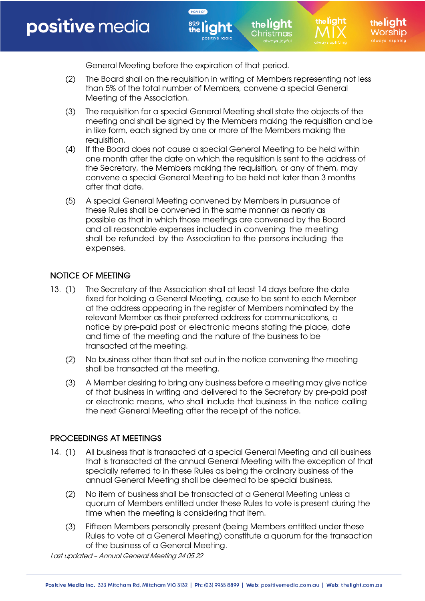the liaht

the liaht

the light :hristmas

General Meeting before the expiration of that period.

HOME OF

- (2) The Board shall on the requisition in writing of Members representing not less than 5% of the total number of Members, convene a special General Meeting of the Association.
- (3) The requisition for a special General Meeting shall state the objects of the meeting and shall be signed by the Members making the requisition and be in like form, each signed by one or more of the Members making the requisition.
- (4) If the Board does not cause a special General Meeting to be held within one month after the date on which the requisition is sent to the address of the Secretary, the Members making the requisition, or any of them, may convene a special General Meeting to be held not later than 3 months after that date.
- (5) A special General Meeting convened by Members in pursuance of these Rules shall be convened in the same manner as nearly as possible as that in which those meetings are convened by the Board and all reasonable expenses included in convening the meeting shall be refunded by the Association to the persons including the expenses.

# NOTICE OF MEETING

- 13. (1) The Secretary of the Association shall at least 14 days before the date fixed for holding a General Meeting, cause to be sent to each Member at the address appearing in the register of Members nominated by the relevant Member as their preferred address for communications, a notice by pre-paid post or electronic means stating the place, date and time of the meeting and the nature of the business to be transacted at the meeting.
	- (2) No business other than that set out in the notice convening the meeting shall be transacted at the meeting.
	- (3) A Member desiring to bring any business before a meeting may give notice of that business in writing and delivered to the Secretary by pre-paid post or electronic means, who shall include that business in the notice calling the next General Meeting after the receipt of the notice.

## PROCEEDINGS AT MEETINGS

- 14. (1) All business that is transacted at a special General Meeting and all business that is transacted at the annual General Meeting with the exception of that specially referred to in these Rules as being the ordinary business of the annual General Meeting shall be deemed to be special business.
	- (2) No item of business shall be transacted at a General Meeting unless a quorum of Members entitled under these Rules to vote is present during the time when the meeting is considering that item.
	- (3) Fifteen Members personally present (being Members entitled under these Rules to vote at a General Meeting) constitute a quorum for the transaction of the business of a General Meeting.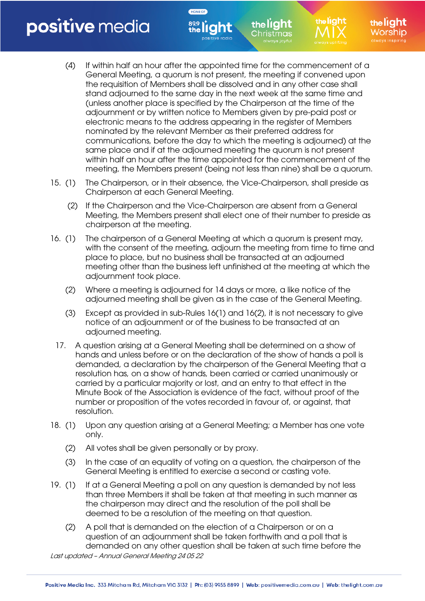(4) If within half an hour after the appointed time for the commencement of a General Meeting, a quorum is not present, the meeting if convened upon the requisition of Members shall be dissolved and in any other case shall stand adjourned to the same day in the next week at the same time and (unless another place is specified by the Chairperson at the time of the adjournment or by written notice to Members given by pre-paid post or electronic means to the address appearing in the register of Members nominated by the relevant Member as their preferred address for communications, before the day to which the meeting is adjourned) at the same place and if at the adjourned meeting the quorum is not present within half an hour after the time appointed for the commencement of the meeting, the Members present (being not less than nine) shall be a quorum.

the light hristmas:

HOME OF

- 15. (1) The Chairperson, or in their absence, the Vice-Chairperson, shall preside as Chairperson at each General Meeting.
	- (2) If the Chairperson and the Vice-Chairperson are absent from a General Meeting, the Members present shall elect one of their number to preside as chairperson at the meeting.
- 16. (1) The chairperson of a General Meeting at which a quorum is present may, with the consent of the meeting, adjourn the meeting from time to time and place to place, but no business shall be transacted at an adjourned meeting other than the business left unfinished at the meeting at which the adjournment took place.
	- (2) Where a meeting is adjourned for 14 days or more, a like notice of the adjourned meeting shall be given as in the case of the General Meeting.
	- (3) Except as provided in sub-Rules 16(1) and 16(2), it is not necessary to give notice of an adjournment or of the business to be transacted at an adjourned meeting.
	- 17. A question arising at a General Meeting shall be determined on a show of hands and unless before or on the declaration of the show of hands a poll is demanded, a declaration by the chairperson of the General Meeting that a resolution has, on a show of hands, been carried or carried unanimously or carried by a particular majority or lost, and an entry to that effect in the Minute Book of the Association is evidence of the fact, without proof of the number or proposition of the votes recorded in favour of, or against, that resolution.
- 18. (1) Upon any question arising at a General Meeting; a Member has one vote only.
	- (2) All votes shall be given personally or by proxy.
	- (3) In the case of an equality of voting on a question, the chairperson of the General Meeting is entitled to exercise a second or casting vote.
- 19. (1) If at a General Meeting a poll on any question is demanded by not less than three Members it shall be taken at that meeting in such manner as the chairperson may direct and the resolution of the poll shall be deemed to be a resolution of the meeting on that question.
	- (2) A poll that is demanded on the election of a Chairperson or on a question of an adjournment shall be taken forthwith and a poll that is demanded on any other question shall be taken at such time before the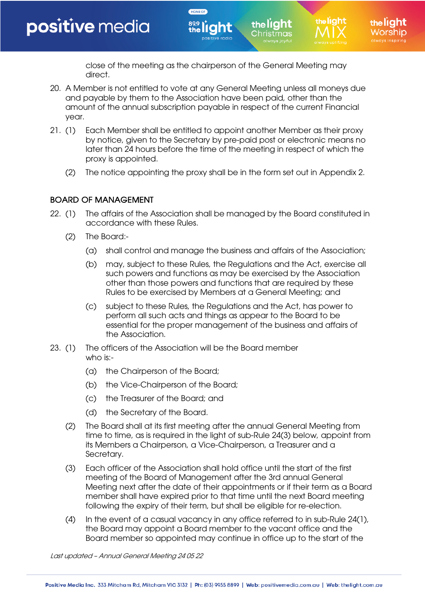close of the meeting as the chairperson of the General Meeting may direct.

the light hristmas:

20. A Member is not entitled to vote at any General Meeting unless all moneys due and payable by them to the Association have been paid, other than the amount of the annual subscription payable in respect of the current Financial year.

HOME OF

- 21. (1) Each Member shall be entitled to appoint another Member as their proxy by notice, given to the Secretary by pre-paid post or electronic means no later than 24 hours before the time of the meeting in respect of which the proxy is appointed.
	- (2) The notice appointing the proxy shall be in the form set out in Appendix 2.

# BOARD OF MANAGEMENT

- 22. (1) The affairs of the Association shall be managed by the Board constituted in accordance with these Rules.
	- (2) The Board:-
		- (a) shall control and manage the business and affairs of the Association;
		- (b) may, subject to these Rules, the Regulations and the Act, exercise all such powers and functions as may be exercised by the Association other than those powers and functions that are required by these Rules to be exercised by Members at a General Meeting; and
		- (c) subject to these Rules, the Regulations and the Act, has power to perform all such acts and things as appear to the Board to be essential for the proper management of the business and affairs of the Association.
- 23. (1) The officers of the Association will be the Board member who is:-
	- (a) the Chairperson of the Board;
	- (b) the Vice-Chairperson of the Board;
	- (c) the Treasurer of the Board; and
	- (d) the Secretary of the Board.
	- (2) The Board shall at its first meeting after the annual General Meeting from time to time, as is required in the light of sub-Rule 24(3) below, appoint from its Members a Chairperson, a Vice-Chairperson, a Treasurer and a Secretary.
	- (3) Each officer of the Association shall hold office until the start of the first meeting of the Board of Management after the 3rd annual General Meeting next after the date of their appointments or if their term as a Board member shall have expired prior to that time until the next Board meeting following the expiry of their term, but shall be eligible for re-election.
	- (4) In the event of a casual vacancy in any office referred to in sub-Rule 24(1), the Board may appoint a Board member to the vacant office and the Board member so appointed may continue in office up to the start of the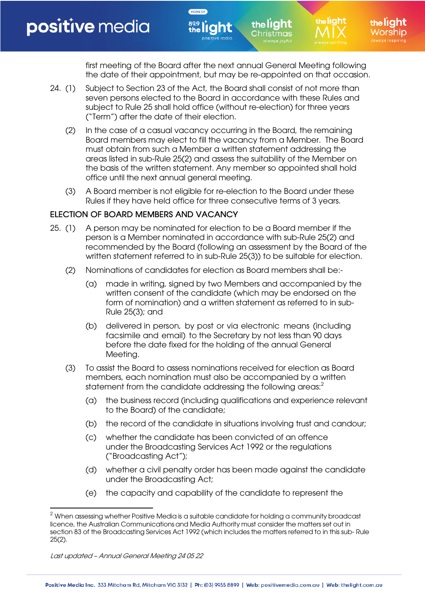first meeting of the Board after the next annual General Meeting following the date of their appointment, but may be re-appointed on that occasion.

the light :hristmas

24. (1) Subject to Section 23 of the Act, the Board shall consist of not more than seven persons elected to the Board in accordance with these Rules and subject to Rule 25 shall hold office (without re-election) for three years ("Term") after the date of their election.

HOME OF

- (2) In the case of a casual vacancy occurring in the Board, the remaining Board members may elect to fill the vacancy from a Member. The Board must obtain from such a Member a written statement addressing the areas listed in sub-Rule 25(2) and assess the suitability of the Member on the basis of the written statement. Any member so appointed shall hold office until the next annual general meeting.
- (3) A Board member is not eligible for re-election to the Board under these Rules if they have held office for three consecutive terms of 3 years.

## ELECTION OF BOARD MEMBERS AND VACANCY

- 25. (1) A person may be nominated for election to be a Board member if the person is a Member nominated in accordance with sub-Rule 25(2) and recommended by the Board (following an assessment by the Board of the written statement referred to in sub-Rule 25(3)) to be suitable for election.
	- (2) Nominations of candidates for election as Board members shall be:-
		- (a) made in writing, signed by two Members and accompanied by the written consent of the candidate (which may be endorsed on the form of nomination) and a written statement as referred to in sub-Rule 25(3); and
		- (b) delivered in person, by post or via electronic means (including facsimile and email) to the Secretary by not less than 90 days before the date fixed for the holding of the annual General Meeting.
	- (3) To assist the Board to assess nominations received for election as Board members, each nomination must also be accompanied by a written statement from the candidate addressing the following areas: $^2$ 
		- (a) the business record (including qualifications and experience relevant to the Board) of the candidate;
		- (b) the record of the candidate in situations involving trust and candour;
		- (c) whether the candidate has been convicted of an offence under the Broadcasting Services Act 1992 or the regulations ("Broadcasting Act");
		- (d) whether a civil penalty order has been made against the candidate under the Broadcasting Act;
		- (e) the capacity and capability of the candidate to represent the

 $2$  When assessing whether Positive Media is a suitable candidate for holding a community broadcast licence, the Australian Communications and Media Authority must consider the matters set out in section 83 of the Broadcasting Services Act 1992 (which includes the matters referred to in this sub- Rule 25(2).

Last updated – Annual General Meeting 24 05 22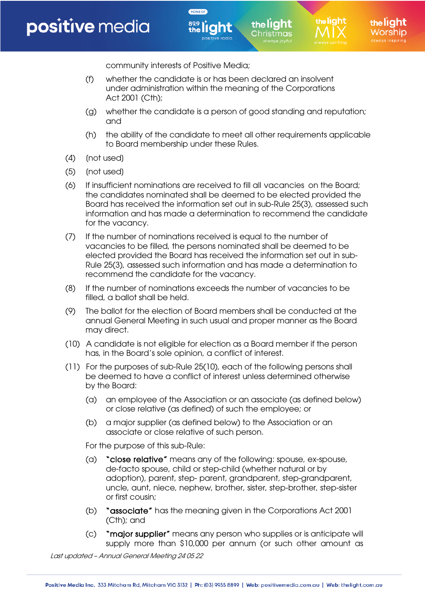the **lí aht** 

community interests of Positive Media;

(f) whether the candidate is or has been declared an insolvent under administration within the meaning of the Corporations Act 2001 (Cth);

HOME OF

(g) whether the candidate is a person of good standing and reputation; and

the light hristmas:

- (h) the ability of the candidate to meet all other requirements applicable to Board membership under these Rules.
- (4) (not used)
- (5) [not used]
- (6) If insufficient nominations are received to fill all vacancies on the Board; the candidates nominated shall be deemed to be elected provided the Board has received the information set out in sub-Rule 25(3), assessed such information and has made a determination to recommend the candidate for the vacancy.
- (7) If the number of nominations received is equal to the number of vacancies to be filled, the persons nominated shall be deemed to be elected provided the Board has received the information set out in sub-Rule 25(3), assessed such information and has made a determination to recommend the candidate for the vacancy.
- (8) If the number of nominations exceeds the number of vacancies to be filled, a ballot shall be held.
- (9) The ballot for the election of Board members shall be conducted at the annual General Meeting in such usual and proper manner as the Board may direct.
- (10) A candidate is not eligible for election as a Board member if the person has, in the Board's sole opinion, a conflict of interest.
- (11) For the purposes of sub-Rule 25(10), each of the following persons shall be deemed to have a conflict of interest unless determined otherwise by the Board:
	- (a) an employee of the Association or an associate (as defined below) or close relative (as defined) of such the employee; or
	- (b) a major supplier (as defined below) to the Association or an associate or close relative of such person.

For the purpose of this sub-Rule:

- (a) "close relative" means any of the following: spouse, ex-spouse, de-facto spouse, child or step-child (whether natural or by adoption), parent, step- parent, grandparent, step-grandparent, uncle, aunt, niece, nephew, brother, sister, step-brother, step-sister or first cousin;
- (b) "associate" has the meaning given in the Corporations Act 2001 (Cth); and
- (c) "major supplier" means any person who supplies or is anticipate will supply more than \$10,000 per annum (or such other amount as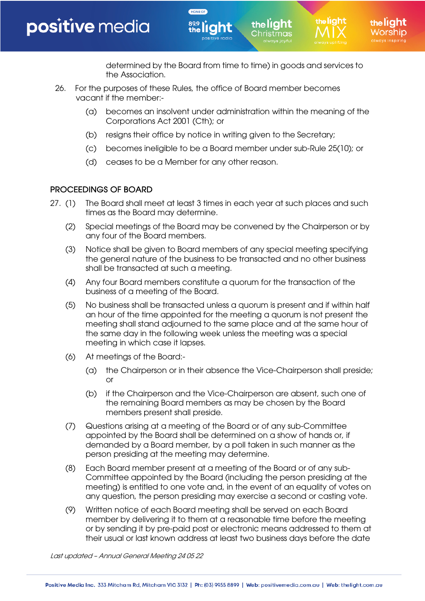determined by the Board from time to time) in goods and services to the Association.

the light Christmas

the liaht

26. For the purposes of these Rules, the office of Board member becomes vacant if the member:-

HOME OF

- (a) becomes an insolvent under administration within the meaning of the Corporations Act 2001 (Cth); or
- (b) resigns their office by notice in writing given to the Secretary;
- (c) becomes ineligible to be a Board member under sub-Rule 25(10); or
- (d) ceases to be a Member for any other reason.

## PROCEEDINGS OF BOARD

- 27. (1) The Board shall meet at least 3 times in each year at such places and such times as the Board may determine.
	- (2) Special meetings of the Board may be convened by the Chairperson or by any four of the Board members.
	- (3) Notice shall be given to Board members of any special meeting specifying the general nature of the business to be transacted and no other business shall be transacted at such a meeting.
	- (4) Any four Board members constitute a quorum for the transaction of the business of a meeting of the Board.
	- (5) No business shall be transacted unless a quorum is present and if within half an hour of the time appointed for the meeting a quorum is not present the meeting shall stand adjourned to the same place and at the same hour of the same day in the following week unless the meeting was a special meeting in which case it lapses.
	- (6) At meetings of the Board:-
		- (a) the Chairperson or in their absence the Vice-Chairperson shall preside; or
		- (b) if the Chairperson and the Vice-Chairperson are absent, such one of the remaining Board members as may be chosen by the Board members present shall preside.
	- (7) Questions arising at a meeting of the Board or of any sub-Committee appointed by the Board shall be determined on a show of hands or, if demanded by a Board member, by a poll taken in such manner as the person presiding at the meeting may determine.
	- (8) Each Board member present at a meeting of the Board or of any sub-Committee appointed by the Board (including the person presiding at the meeting) is entitled to one vote and, in the event of an equality of votes on any question, the person presiding may exercise a second or casting vote.
	- (9) Written notice of each Board meeting shall be served on each Board member by delivering it to them at a reasonable time before the meeting or by sending it by pre-paid post or electronic means addressed to them at their usual or last known address at least two business days before the date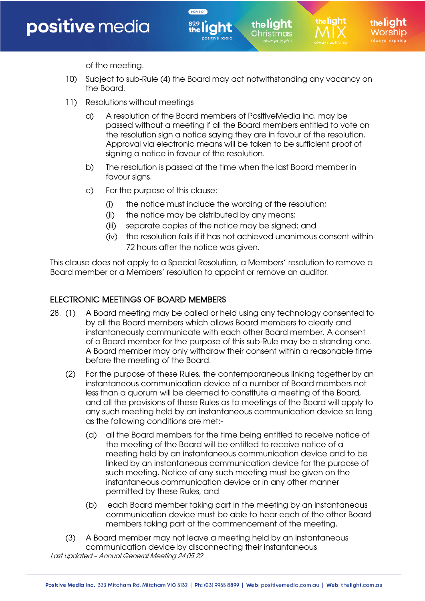

the liaht

of the meeting.

10) Subject to sub-Rule (4) the Board may act notwithstanding any vacancy on the Board.

the light hristmas:

HOME OF

- 11) Resolutions without meetings
	- a) A resolution of the Board members of PositiveMedia Inc. may be passed without a meeting if all the Board members entitled to vote on the resolution sign a notice saying they are in favour of the resolution. Approval via electronic means will be taken to be sufficient proof of signing a notice in favour of the resolution.
	- b) The resolution is passed at the time when the last Board member in favour signs.
	- c) For the purpose of this clause:
		- (i) the notice must include the wording of the resolution;
		- (ii) the notice may be distributed by any means;
		- (iii) separate copies of the notice may be signed; and
		- (iv) the resolution fails if it has not achieved unanimous consent within 72 hours after the notice was given.

This clause does not apply to a Special Resolution, a Members' resolution to remove a Board member or a Members' resolution to appoint or remove an auditor.

#### ELECTRONIC MEETINGS OF BOARD MEMBERS

- 28. (1) A Board meeting may be called or held using any technology consented to by all the Board members which allows Board members to clearly and instantaneously communicate with each other Board member. A consent of a Board member for the purpose of this sub-Rule may be a standing one. A Board member may only withdraw their consent within a reasonable time before the meeting of the Board.
	- (2) For the purpose of these Rules, the contemporaneous linking together by an instantaneous communication device of a number of Board members not less than a quorum will be deemed to constitute a meeting of the Board, and all the provisions of these Rules as to meetings of the Board will apply to any such meeting held by an instantaneous communication device so long as the following conditions are met:-
		- (a) all the Board members for the time being entitled to receive notice of the meeting of the Board will be entitled to receive notice of a meeting held by an instantaneous communication device and to be linked by an instantaneous communication device for the purpose of such meeting. Notice of any such meeting must be given on the instantaneous communication device or in any other manner permitted by these Rules, and
		- (b) each Board member taking part in the meeting by an instantaneous communication device must be able to hear each of the other Board members taking part at the commencement of the meeting.
- Last updated Annual General Meeting 24 05 22 (3) A Board member may not leave a meeting held by an instantaneous communication device by disconnecting their instantaneous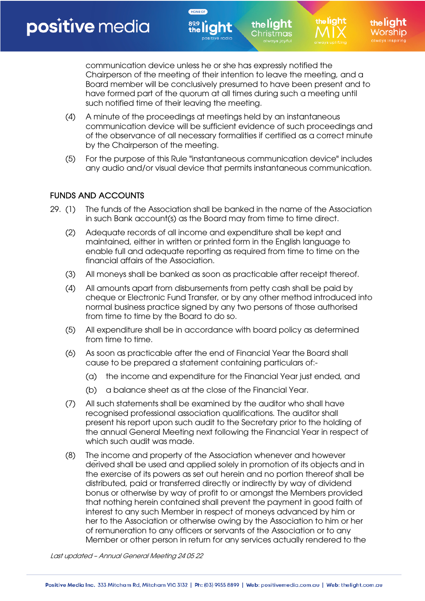communication device unless he or she has expressly notified the Chairperson of the meeting of their intention to leave the meeting, and a Board member will be conclusively presumed to have been present and to have formed part of the quorum at all times during such a meeting until such notified time of their leaving the meeting.

the light Christmas

the liaht

the liaht

(4) A minute of the proceedings at meetings held by an instantaneous communication device will be sufficient evidence of such proceedings and of the observance of all necessary formalities if certified as a correct minute by the Chairperson of the meeting.

HOME OF

(5) For the purpose of this Rule "instantaneous communication device" includes any audio and/or visual device that permits instantaneous communication.

## FUNDS AND ACCOUNTS

- 29. (1) The funds of the Association shall be banked in the name of the Association in such Bank account(s) as the Board may from time to time direct.
	- (2) Adequate records of all income and expenditure shall be kept and maintained, either in written or printed form in the English language to enable full and adequate reporting as required from time to time on the financial affairs of the Association.
	- (3) All moneys shall be banked as soon as practicable after receipt thereof.
	- (4) All amounts apart from disbursements from petty cash shall be paid by cheque or Electronic Fund Transfer, or by any other method introduced into normal business practice signed by any two persons of those authorised from time to time by the Board to do so.
	- (5) All expenditure shall be in accordance with board policy as determined from time to time.
	- (6) As soon as practicable after the end of Financial Year the Board shall cause to be prepared a statement containing particulars of:-
		- (a) the income and expenditure for the Financial Year just ended, and
		- (b) a balance sheet as at the close of the Financial Year.
	- (7) All such statements shall be examined by the auditor who shall have recognised professional association qualifications. The auditor shall present his report upon such audit to the Secretary prior to the holding of the annual General Meeting next following the Financial Year in respect of which such audit was made.
	- (8) The income and property of the Association whenever and however derived shall be used and applied solely in promotion of its objects and in the exercise of its powers as set out herein and no portion thereof shall be distributed, paid or transferred directly or indirectly by way of dividend bonus or otherwise by way of profit to or amongst the Members provided that nothing herein contained shall prevent the payment in good faith of interest to any such Member in respect of moneys advanced by him or her to the Association or otherwise owing by the Association to him or her of remuneration to any officers or servants of the Association or to any Member or other person in return for any services actually rendered to the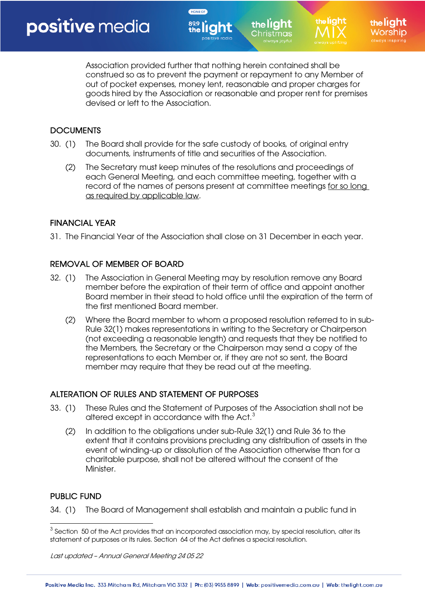the lí aht

Association provided further that nothing herein contained shall be construed so as to prevent the payment or repayment to any Member of out of pocket expenses, money lent, reasonable and proper charges for goods hired by the Association or reasonable and proper rent for premises devised or left to the Association.

the light hristmas

# **DOCUMENTS**

30. (1) The Board shall provide for the safe custody of books, of original entry documents, instruments of title and securities of the Association.

HOME OF

(2) The Secretary must keep minutes of the resolutions and proceedings of each General Meeting, and each committee meeting, together with a record of the names of persons present at committee meetings for so long as required by applicable law.

# FINANCIAL YEAR

31. The Financial Year of the Association shall close on 31 December in each year.

## REMOVAL OF MEMBER OF BOARD

- 32. (1) The Association in General Meeting may by resolution remove any Board member before the expiration of their term of office and appoint another Board member in their stead to hold office until the expiration of the term of the first mentioned Board member.
	- (2) Where the Board member to whom a proposed resolution referred to in sub-Rule 32(1) makes representations in writing to the Secretary or Chairperson (not exceeding a reasonable length) and requests that they be notified to the Members, the Secretary or the Chairperson may send a copy of the representations to each Member or, if they are not so sent, the Board member may require that they be read out at the meeting.

## ALTERATION OF RULES AND STATEMENT OF PURPOSES

- 33. (1) These Rules and the Statement of Purposes of the Association shall not be altered except in accordance with the Act. $3$ 
	- (2) In addition to the obligations under sub-Rule 32(1) and Rule 36 to the extent that it contains provisions precluding any distribution of assets in the event of winding-up or dissolution of the Association otherwise than for a charitable purpose, shall not be altered without the consent of the Minister.

## PUBLIC FUND

34. (1) The Board of Management shall establish and maintain a public fund in

 $3$  Section 50 of the Act provides that an incorporated association may, by special resolution, alter its statement of purposes or its rules. Section 64 of the Act defines a special resolution.

Last updated – Annual General Meeting 24 05 22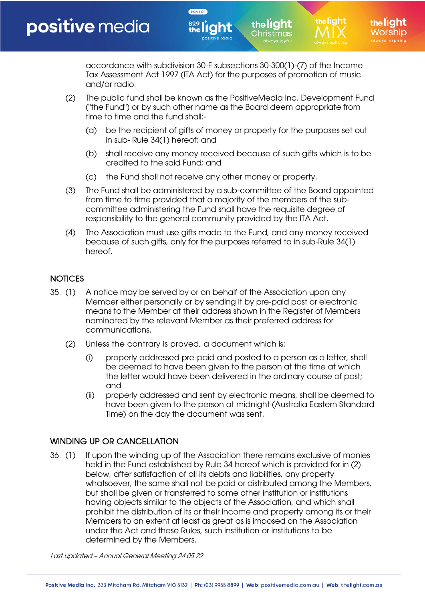accordance with subdivision 30-F subsections 30-300(1)-(7) of the Income Tax Assessment Act 1997 (ITA Act) for the purposes of promotion of music and/or radio.

the light :hristmas

- (2) The public fund shall be known as the PositiveMedia Inc. Development Fund ("the Fund") or by such other name as the Board deem appropriate from time to time and the fund shall:-
	- (a) be the recipient of gifts of money or property for the purposes set out in sub- Rule 34(1) hereof; and
	- (b) shall receive any money received because of such gifts which is to be credited to the said Fund; and
	- (c) the Fund shall not receive any other money or property.

HOME OF

- (3) The Fund shall be administered by a sub-committee of the Board appointed from time to time provided that a majority of the members of the subcommittee administering the Fund shall have the requisite degree of responsibility to the general community provided by the ITA Act.
- (4) The Association must use gifts made to the Fund, and any money received because of such gifts, only for the purposes referred to in sub-Rule 34(1) hereof.

# **NOTICES**

- 35. (1) A notice may be served by or on behalf of the Association upon any Member either personally or by sending it by pre-paid post or electronic means to the Member at their address shown in the Register of Members nominated by the relevant Member as their preferred address for communications.
	- (2) Unless the contrary is proved, a document which is:
		- (i) properly addressed pre-paid and posted to a person as a letter, shall be deemed to have been given to the person at the time at which the letter would have been delivered in the ordinary course of post; and
		- (ii) properly addressed and sent by electronic means, shall be deemed to have been given to the person at midnight (Australia Eastern Standard Time) on the day the document was sent.

# WINDING UP OR CANCELLATION

36. (1) If upon the winding up of the Association there remains exclusive of monies held in the Fund established by Rule 34 hereof which is provided for in (2) below, after satisfaction of all its debts and liabilities, any property whatsoever, the same shall not be paid or distributed among the Members, but shall be given or transferred to some other institution or institutions having objects similar to the objects of the Association, and which shall prohibit the distribution of its or their income and property among its or their Members to an extent at least as great as is imposed on the Association under the Act and these Rules, such institution or institutions to be determined by the Members.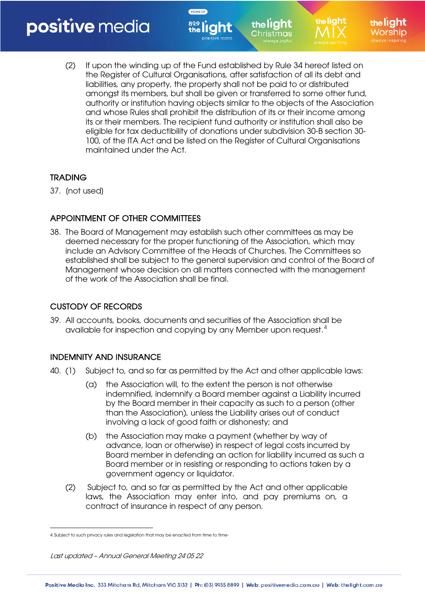(2) If upon the winding up of the Fund established by Rule 34 hereof listed on the Register of Cultural Organisations, after satisfaction of all its debt and liabilities, any property, the property shall not be paid to or distributed amongst its members, but shall be given or transferred to some other fund, authority or institution having objects similar to the objects of the Association and whose Rules shall prohibit the distribution of its or their income among its or their members. The recipient fund authority or institution shall also be eligible for tax deductibility of donations under subdivision 30-B section 30- 100, of the ITA Act and be listed on the Register of Cultural Organisations maintained under the Act.

the light hristmas:

the liaht

HOME OF

# **TRADING**

37. [not used]

# APPOINTMENT OF OTHER COMMITTEES

38. The Board of Management may establish such other committees as may be deemed necessary for the proper functioning of the Association, which may include an Advisory Committee of the Heads of Churches. The Committees so established shall be subject to the general supervision and control of the Board of Management whose decision on all matters connected with the management of the work of the Association shall be final.

# CUSTODY OF RECORDS

39. All accounts, books, documents and securities of the Association shall be available for inspection and copying by any Member upon request.<sup>4</sup>

# INDEMNITY AND INSURANCE

- 40. (1) Subject to, and so far as permitted by the Act and other applicable laws:
	- (a) the Association will, to the extent the person is not otherwise indemnified, indemnify a Board member against a Liability incurred by the Board member in their capacity as such to a person (other than the Association), unless the Liability arises out of conduct involving a lack of good faith or dishonesty; and
	- (b) the Association may make a payment (whether by way of advance, loan or otherwise) in respect of legal costs incurred by Board member in defending an action for liability incurred as such a Board member or in resisting or responding to actions taken by a government agency or liquidator.
	- (2) Subject to, and so far as permitted by the Act and other applicable laws, the Association may enter into, and pay premiums on, a contract of insurance in respect of any person.

<sup>4</sup> Subject to such privacy rules and legislation that may be enacted from time to time.

Last updated – Annual General Meeting 24 05 22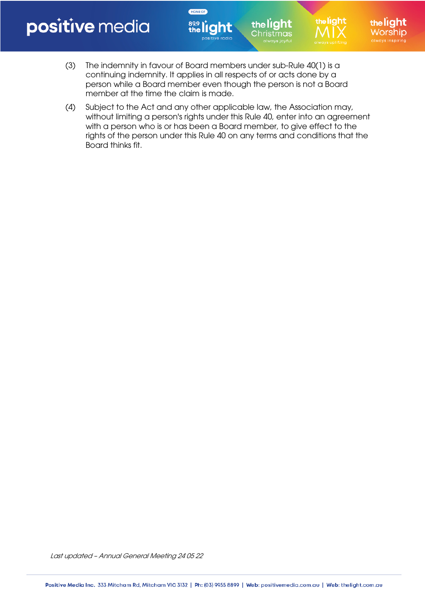(3) The indemnity in favour of Board members under sub-Rule 40(1) is a continuing indemnity. It applies in all respects of or acts done by a person while a Board member even though the person is not a Board member at the time the claim is made.

HOME OF

(4) Subject to the Act and any other applicable law, the Association may, without limiting a person's rights under this Rule 40, enter into an agreement with a person who is or has been a Board member, to give effect to the rights of the person under this Rule 40 on any terms and conditions that the Board thinks fit.

the liaht

the light

Christmas

the liaht

/orshin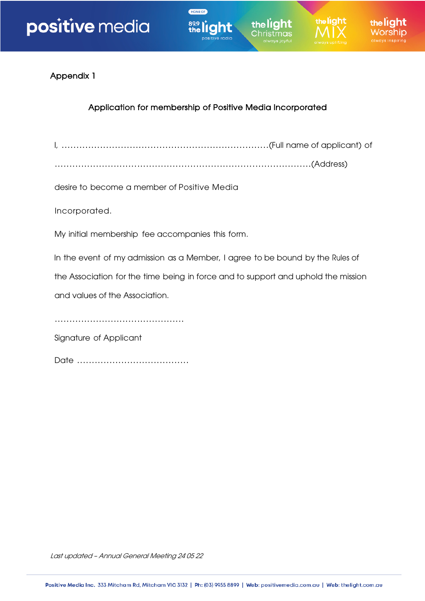

Appendix 1

# Application for membership of Positive Media Incorporated

HOME OF

I, ......................................................................(Full name of applicant) of

.......................................................................................(Address)

desire to become a member of Positive Media

Incorporated.

My initial membership fee accompanies this form.

In the event of my admission as a Member, I agree to be bound by the Rules of

the Association for the time being in force and to support and uphold the mission

and values of the Association.

............................................

Signature of Applicant

Date ......................................